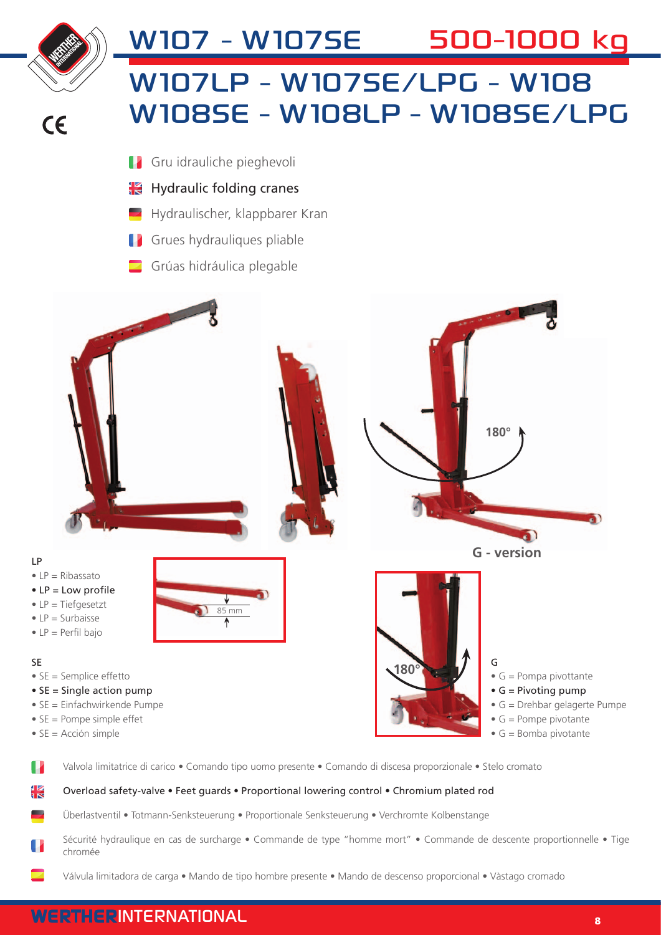

#### Overload safety-valve • Feet guards • Proportional lowering control • Chromium plated rod

Überlastventil • Totmann-Senksteuerung • Proportionale Senksteuerung • Verchromte Kolbenstange

- Sécurité hydraulique en cas de surcharge Commande de type "homme mort" Commande de descente proportionnelle Tige chromée
	- Válvula limitadora de carga Mando de tipo hombre presente Mando de descenso proporcional Vàstago cromado

### WERTHERINTERNATIONAL RESERVED FOR A SERVED ON A SERVED ON A SERVED ON A SERVED ON A SERVED ON A SERVED ON A SE